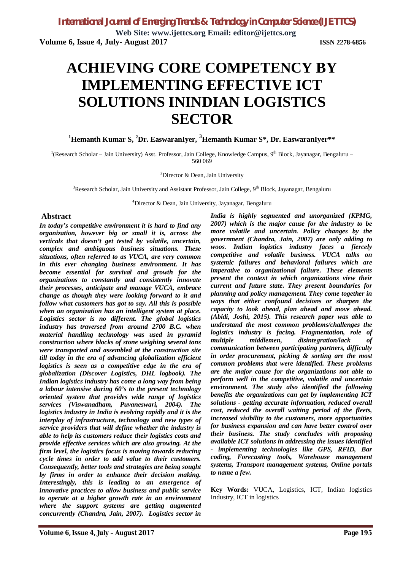**Web Site: www.ijettcs.org Email: editor@ijettcs.org Volume 6, Issue 4, July- August 2017 ISSN 2278-6856**

# **ACHIEVING CORE COMPETENCY BY IMPLEMENTING EFFECTIVE ICT SOLUTIONS ININDIAN LOGISTICS SECTOR**

**<sup>1</sup>Hemanth Kumar S, <sup>2</sup>Dr. EaswaranIyer, <sup>3</sup>Hemanth Kumar S\*, Dr. EaswaranIyer\*\***

<sup>1</sup>(Research Scholar – Jain University) Asst. Professor, Jain College, Knowledge Campus, 9<sup>th</sup> Block, Jayanagar, Bengaluru – 560 069

<sup>2</sup>Director & Dean, Jain University

<sup>3</sup>Research Scholar, Jain University and Assistant Professor, Jain College, 9<sup>th</sup> Block, Jayanagar, Bengaluru

**<sup>4</sup>**Director & Dean, Jain University, Jayanagar, Bengaluru

## **Abstract**

*In today's competitive environment it is hard to find any organization, however big or small it is, across the verticals that doesn't get tested by volatile, uncertain, complex and ambiguous business situations. These situations, often referred to as VUCA, are very common in this ever changing business environment. It has become essential for survival and growth for the organizations to constantly and consistently innovate their processes, anticipate and manage VUCA, embrace change as though they were looking forward to it and follow what customers has got to say. All this is possible when an organization has an intelligent system at place. Logistics sector is no different. The global logistics industry has traversed from around 2700 B.C. when material handling technology was used in pyramid construction where blocks of stone weighing several tons were transported and assembled at the construction site till today in the era of advancing globalization efficient logistics is seen as a competitive edge in the era of globalization (Discover Logistics, DHL logbook). The Indian logistics industry has come a long way from being a labour intensive during 60's to the present technology oriented system that provides wide range of logistics services (Viswanadham, Puvaneswari, 2004). The logistics industry in India is evolving rapidly and it is the interplay of infrastructure, technology and new types of service providers that will define whether the industry is able to help its customers reduce their logistics costs and provide effective services which are also growing. At the firm level, the logistics focus is moving towards reducing cycle times in order to add value to their customers. Consequently, better tools and strategies are being sought by firms in order to enhance their decision making. Interestingly, this is leading to an emergence of innovative practices to allow business and public service to operate at a higher growth rate in an environment where the support systems are getting augmented concurrently (Chandra, Jain, 2007). Logistics sector in* 

*India is highly segmented and unorganized (KPMG, 2007) which is the major cause for the industry to be more volatile and uncertain. Policy changes by the government (Chandra, Jain, 2007) are only adding to woos. Indian logistics industry faces a fiercely competitive and volatile business. VUCA talks on systemic failures and behavioral failures which are imperative to organizational failure. These elements present the context in which organizations view their current and future state. They present boundaries for planning and policy management. They come together in ways that either confound decisions or sharpen the capacity to look ahead, plan ahead and move ahead. (Abidi, Joshi, 2015). This research paper was able to understand the most common problems/challenges the logistics industry is facing. Fragmentation, role of multiple middlemen, disintegration/lack of communication between participating partners, difficulty in order procurement, picking & sorting are the most common problems that were identified. These problems are the major cause for the organizations not able to perform well in the competitive, volatile and uncertain environment. The study also identified the following benefits the organizations can get by implementing ICT solutions - getting accurate information, reduced overall cost, reduced the overall waiting period of the fleets, increased visibility to the customers, more opportunities for business expansion and can have better control over their business. The study concludes with proposing available ICT solutions in addressing the issues identified - implementing technologies like GPS, RFID, Bar coding, Forecasting tools, Warehouse management systems, Transport management systems, Online portals to name a few.*

**Key Words:** VUCA, Logistics, ICT, Indian logistics Industry, ICT in logistics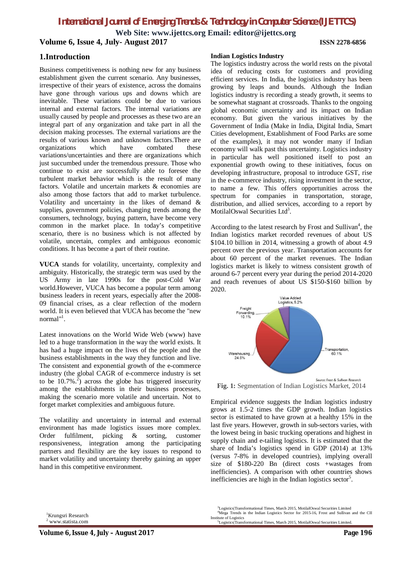**Web Site: www.ijettcs.org Email: editor@ijettcs.org Volume 6, Issue 4, July- August 2017 ISSN 2278-6856**

# **1.Introduction**

Business competitiveness is nothing new for any business establishment given the current scenario. Any businesses, irrespective of their years of existence, across the domains have gone through various ups and downs which are inevitable. These variations could be due to various internal and external factors. The internal variations are usually caused by people and processes as these two are an integral part of any organization and take part in all the decision making processes. The external variations are the results of various known and unknown factors.There are organizations which have combated these variations/uncertainties and there are organizations which just succumbed under the tremendous pressure. Those who continue to exist are successfully able to foresee the turbulent market behavior which is the result of many factors. Volatile and uncertain markets & economies are also among those factors that add to market turbulence. Volatility and uncertainty in the likes of demand & supplies, government policies, changing trends among the consumers, technology, buying pattern, have become very common in the market place. In today's competitive scenario, there is no business which is not affected by volatile, uncertain, complex and ambiguous economic conditions. It has become a part of their routine.

**VUCA** stands for volatility, uncertainty, complexity and ambiguity. Historically, the strategic term was used by the US Army in late 1990s for the post-Cold War world.However, VUCA has become a popular term among business leaders in recent years, especially after the 2008- 09 financial crises, as a clear reflection of the modern world. It is even believed that VUCA has become the "new normal"<sup>1</sup>.

Latest innovations on the World Wide Web (www) have led to a huge transformation in the way the world exists. It has had a huge impact on the lives of the people and the business establishments in the way they function and live. The consistent and exponential growth of the e-commerce industry (the global CAGR of e-commerce industry is set to be  $10.7\%$ <sup>2</sup>) across the globe has triggered insecurity among the establishments in their business processes, making the scenario more volatile and uncertain. Not to forget market complexities and ambiguous future.

The volatility and uncertainty in internal and external environment has made logistics issues more complex. Order fulfilment, picking & sorting, customer responsiveness, integration among the participating partners and flexibility are the key issues to respond to market volatility and uncertainty thereby gaining an upper hand in this competitive environment.

# **Indian Logistics Industry**

The logistics industry across the world rests on the pivotal idea of reducing costs for customers and providing efficient services. In India, the logistics industry has been growing by leaps and bounds. Although the Indian logistics industry is recording a steady growth, it seems to be somewhat stagnant at crossroads. Thanks to the ongoing global economic uncertainty and its impact on Indian economy. But given the various initiatives by the Government of India (Make in India, Digital India, Smart Cities development, Establishment of Food Parks are some of the examples), it may not wonder many if Indian economy will walk past this uncertainty. Logistics industry in particular has well positioned itself to post an exponential growth owing to these initiatives, focus on developing infrastructure, proposal to introduce GST, rise in the e-commerce industry, rising investment in the sector, to name a few. This offers opportunities across the spectrum for companies in transportation, storage, distribution, and allied services, according to a report by MotilalOswal Securities Ltd<sup>3</sup>.

According to the latest research by Frost and Sullivan<sup>4</sup>, the Indian logistics market recorded revenues of about US \$104.10 billion in 2014, witnessing a growth of about 4.9 percent over the previous year. Transportation accounts for about 60 percent of the market revenues. The Indian logistics market is likely to witness consistent growth of around 6-7 percent every year during the period 2014-2020 and reach revenues of about US \$150-\$160 billion by 2020.



**Fig. 1:** Segmentation of Indian Logistics Market, 2014

Empirical evidence suggests the Indian logistics industry grows at 1.5-2 times the GDP growth. Indian logistics sector is estimated to have grown at a healthy 15% in the last five years. However, growth in sub-sectors varies, with the lowest being in basic trucking operations and highest in supply chain and e-tailing logistics. It is estimated that the share of India's logistics spend in GDP (2014) at 13% (versus 7-8% in developed countries), implying overall size of \$180-220 Bn (direct costs +wastages from inefficiencies). A comparison with other countries shows inefficiencies are high in the Indian logistics sector<sup>5</sup>.

<sup>3</sup>Logistics|Transformational Times, March 2015, MotilalOswal Securities Limited <sup>4</sup>Mega Trends in the Indian Logistics Sector for 2015-16, Frost and Sullivan and the CII

Institute of Logistics <sup>5</sup>Logistics|Transformational Times, March 2015, MotilalOswal Securities Limited.

<sup>&</sup>lt;sup>1</sup>Krungsri Research

<sup>2</sup> www.statista.com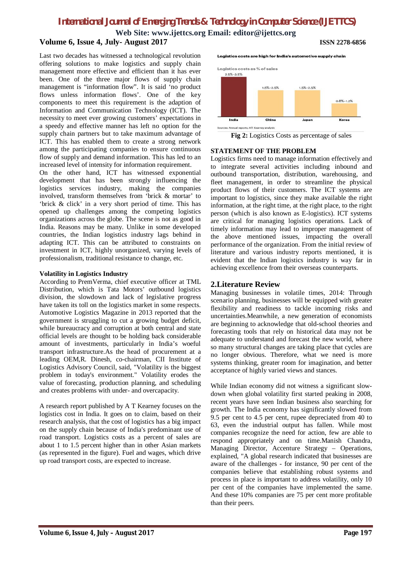**Web Site: www.ijettcs.org Email: editor@ijettcs.org**

# **Volume 6, Issue 4, July- August 2017 ISSN 2278-6856**

Last two decades has witnessed a technological revolution offering solutions to make logistics and supply chain management more effective and efficient than it has ever been. One of the three major flows of supply chain management is "information flow". It is said 'no product flows unless information flows'. One of the key components to meet this requirement is the adaption of Information and Communication Technology (ICT). The necessity to meet ever growing customers' expectations in a speedy and effective manner has left no option for the supply chain partners but to take maximum advantage of ICT. This has enabled them to create a strong network among the participating companies to ensure continuous flow of supply and demand information. This has led to an increased level of intensity for information requirement.

On the other hand, ICT has witnessed exponential development that has been strongly influencing the logistics services industry, making the companies involved, transform themselves from 'brick & mortar' to 'brick & click' in a very short period of time. This has opened up challenges among the competing logistics organizations across the globe. The scene is not as good in India. Reasons may be many. Unlike in some developed countries, the Indian logistics industry lags behind in adapting ICT. This can be attributed to constraints on investment in ICT, highly unorganized, varying levels of professionalism, traditional resistance to change, etc.

## **Volatility in Logistics Industry**

According to PremVerma, chief executive officer at TML Distribution, which is Tata Motors' outbound logistics division, the slowdown and lack of legislative progress have taken its toll on the logistics market in some respects. Automotive Logistics Magazine in 2013 reported that the government is struggling to cut a growing budget deficit, while bureaucracy and corruption at both central and state official levels are thought to be holding back considerable amount of investments, particularly in India's woeful transport infrastructure.As the head of procurement at a leading OEM,R. Dinesh, co-chairman, CII Institute of Logistics Advisory Council, said, "Volatility is the biggest problem in today's environment." Volatility erodes the value of forecasting, production planning, and scheduling and creates problems with under- and overcapacity.

A research report published by A T Kearney focuses on the logistics cost in India. It goes on to claim, based on their research analysis, that the cost of logistics has a big impact on the supply chain because of India's predominant use of road transport. Logistics costs as a percent of sales are about 1 to 1.5 percent higher than in other Asian markets (as represented in the figure). Fuel and wages, which drive up road transport costs, are expected to increase.

Logistics costs are high for India's automotive supply chain



**Fig 2:** Logistics Costs as percentage of sales

## **STATEMENT OF THE PROBLEM**

Logistics firms need to manage information effectively and to integrate several activities including inbound and outbound transportation, distribution, warehousing, and fleet management, in order to streamline the physical product flows of their customers. The ICT systems are important to logistics, since they make available the right information, at the right time, at the right place, to the right person (which is also known as E-logistics). ICT systems are critical for managing logistics operations. Lack of timely information may lead to improper management of the above mentioned issues, impacting the overall performance of the organization. From the initial review of literature and various industry reports mentioned, it is evident that the Indian logistics industry is way far in achieving excellence from their overseas counterparts.

# **2.Literature Review**

Managing businesses in volatile times, 2014: Through scenario planning, businesses will be equipped with greater flexibility and readiness to tackle incoming risks and uncertainties.Meanwhile, a new generation of economists are beginning to acknowledge that old-school theories and forecasting tools that rely on historical data may not be adequate to understand and forecast the new world, where so many structural changes are taking place that cycles are no longer obvious. Therefore, what we need is more systems thinking, greater room for imagination, and better acceptance of highly varied views and stances.

While Indian economy did not witness a significant slowdown when global volatility first started peaking in 2008, recent years have seen Indian business also searching for growth. The India economy has significantly slowed from 9.5 per cent to 4.5 per cent, rupee depreciated from 40 to 63, even the industrial output has fallen. While most companies recognize the need for action, few are able to respond appropriately and on time.Manish Chandra, Managing Director, Accenture Strategy – Operations, explained, "A global research indicated that businesses are aware of the challenges - for instance, 90 per cent of the companies believe that establishing robust systems and process in place is important to address volatility, only 10 per cent of the companies have implemented the same. And these 10% companies are 75 per cent more profitable than their peers.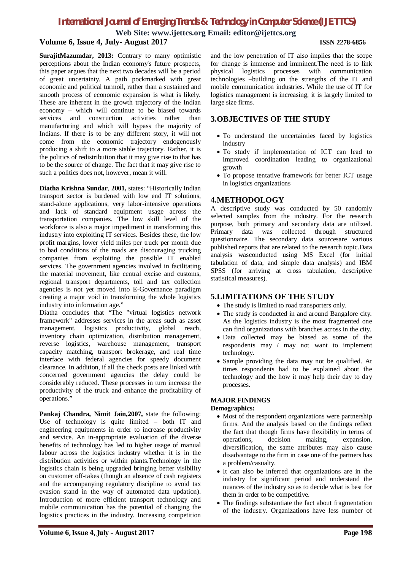**Web Site: www.ijettcs.org Email: editor@ijettcs.org Volume 6, Issue 4, July- August 2017 ISSN 2278-6856**

**SurajitMazumdar, 2013:** Contrary to many optimistic perceptions about the Indian economy's future prospects, this paper argues that the next two decades will be a period of great uncertainty. A path pockmarked with great economic and political turmoil, rather than a sustained and smooth process of economic expansion is what is likely. These are inherent in the growth trajectory of the Indian economy – which will continue to be biased towards<br>services and construction activities rather than services and construction activities rather than manufacturing and which will bypass the majority of Indians. If there is to be any different story, it will not come from the economic trajectory endogenously producing a shift to a more stable trajectory. Rather, it is the politics of redistribution that it may give rise to that has to be the source of change. The fact that it may give rise to such a politics does not, however, mean it will.

**Diatha Krishna Sundar**, **2001,** states: "Historically Indian transport sector is burdened with low end IT solutions, stand-alone applications, very labor-intensive operations and lack of standard equipment usage across the transportation companies. The low skill level of the workforce is also a major impediment in transforming this industry into exploiting IT services. Besides these, the low profit margins, lower yield miles per truck per month due to bad conditions of the roads are discouraging trucking companies from exploiting the possible IT enabled services. The government agencies involved in facilitating the material movement, like central excise and customs, regional transport departments, toll and tax collection agencies is not yet moved into E-Governance paradigm creating a major void in transforming the whole logistics industry into information age."

Diatha concludes that "The "virtual logistics network framework" addresses services in the areas such as asset management, logistics productivity, global reach, inventory chain optimization, distribution management, reverse logistics, warehouse management, transport capacity matching, transport brokerage, and real time interface with federal agencies for speedy document clearance. In addition, if all the check posts are linked with concerned government agencies the delay could be considerably reduced. These processes in turn increase the productivity of the truck and enhance the profitability of operations."

**Pankaj Chandra, Nimit Jain,2007,** state the following: Use of technology is quite limited – both IT and engineering equipments in order to increase productivity and service. An in-appropriate evaluation of the diverse benefits of technology has led to higher usage of manual labour across the logistics industry whether it is in the distribution activities or within plants.Technology in the logistics chain is being upgraded bringing better visibility on customer off-takes (though an absence of cash registers and the accompanying regulatory discipline to avoid tax evasion stand in the way of automated data updation). Introduction of more efficient transport technology and mobile communication has the potential of changing the logistics practices in the industry. Increasing competition

and the low penetration of IT also implies that the scope for change is immense and imminent.The need is to link physical logistics processes with communication technologies –building on the strengths of the IT and mobile communication industries. While the use of IT for logistics management is increasing, it is largely limited to large size firms.

# **3.OBJECTIVES OF THE STUDY**

- To understand the uncertainties faced by logistics industry
- To study if implementation of ICT can lead to improved coordination leading to organizational growth
- To propose tentative framework for better ICT usage in logistics organizations

# **4.METHODOLOGY**

A descriptive study was conducted by 50 randomly selected samples from the industry. For the research purpose, both primary and secondary data are utilized. Primary data was collected through structured questionnaire. The secondary data sourcesare various published reports that are related to the research topic.Data analysis wasconducted using MS Excel (for initial tabulation of data, and simple data analysis) and IBM SPSS (for arriving at cross tabulation, descriptive statistical measures).

# **5.LIMITATIONS OF THE STUDY**

- The study is limited to road transporters only.
- The study is conducted in and around Bangalore city. As the logistics industry is the most fragmented one can find organizations with branches across in the city.
- Data collected may be biased as some of the respondents may / may not want to implement technology.
- Sample providing the data may not be qualified. At times respondents had to be explained about the technology and the how it may help their day to day processes.

# **MAJOR FINDINGS**

# **Demographics:**

- Most of the respondent organizations were partnership firms. And the analysis based on the findings reflect the fact that though firms have flexibility in terms of operations, decision making, expansion, diversification, the same attributes may also cause disadvantage to the firm in case one of the partners has a problem/casualty.
- It can also be inferred that organizations are in the industry for significant period and understand the nuances of the industry so as to decide what is best for them in order to be competitive.
- The findings substantiate the fact about fragmentation of the industry. Organizations have less number of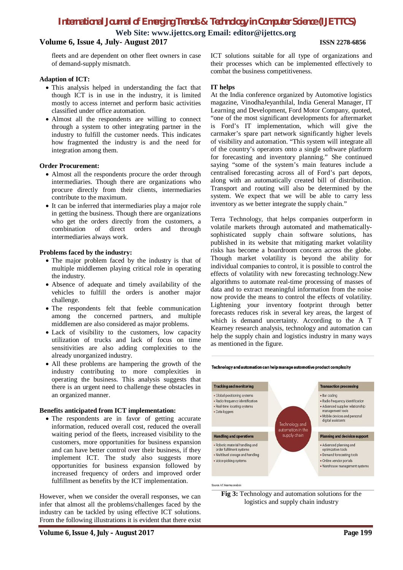**Web Site: www.ijettcs.org Email: editor@ijettcs.org**

# **Volume 6, Issue 4, July- August 2017 ISSN 2278-6856**

fleets and are dependent on other fleet owners in case of demand-supply mismatch.

## **Adaption of ICT:**

- This analysis helped in understanding the fact that though ICT is in use in the industry, it is limited mostly to access internet and perform basic activities classified under office automation.
- Almost all the respondents are willing to connect through a system to other integrating partner in the industry to fulfill the customer needs. This indicates how fragmented the industry is and the need for integration among them.

#### **Order Procurement:**

- Almost all the respondents procure the order through intermediaries. Though there are organizations who procure directly from their clients, intermediaries contribute to the maximum.
- It can be inferred that intermediaries play a major role in getting the business. Though there are organizations who get the orders directly from the customers, a combination of direct orders and through intermediaries always work.

#### **Problems faced by the industry:**

- The major problem faced by the industry is that of multiple middlemen playing critical role in operating the industry.
- Absence of adequate and timely availability of the vehicles to fulfill the orders is another major challenge.
- The respondents felt that feeble communication among the concerned partners, and multiple middlemen are also considered as major problems.
- Lack of visibility to the customers, low capacity utilization of trucks and lack of focus on time sensitivities are also adding complexities to the already unorganized industry.
- All these problems are hampering the growth of the industry contributing to more complexities in operating the business. This analysis suggests that there is an urgent need to challenge these obstacles in an organized manner.

#### **Benefits anticipated from ICT implementation:**

• The respondents are in favor of getting accurate information, reduced overall cost, reduced the overall waiting period of the fleets, increased visibility to the customers, more opportunities for business expansion and can have better control over their business, if they implement ICT. The study also suggests more opportunities for business expansion followed by increased frequency of orders and improved order fulfillment as benefits by the ICT implementation.

However, when we consider the overall responses, we can infer that almost all the problems/challenges faced by the industry can be tackled by using effective ICT solutions. From the following illustrations it is evident that there exist ICT solutions suitable for all type of organizations and their processes which can be implemented effectively to combat the business competitiveness.

## **IT helps**

At the India conference organized by Automotive logistics magazine, VinodhaJeyanthilal, India General Manager, IT Learning and Development, Ford Motor Company, quoted, "one of the most significant developments for aftermarket is Ford's IT implementation, which will give the carmaker's spare part network significantly higher levels of visibility and automation. "This system will integrate all of the country's operators onto a single software platform for forecasting and inventory planning." She continued saying "some of the system's main features include a centralised forecasting across all of Ford's part depots, along with an automatically created bill of distribution. Transport and routing will also be determined by the system. We expect that we will be able to carry less inventory as we better integrate the supply chain."

Terra Technology, that helps companies outperform in volatile markets through automated and mathematicallysophisticated supply chain software solutions, has published in its website that mitigating market volatility risks has become a boardroom concern across the globe. Though market volatility is beyond the ability for individual companies to control, it is possible to control the effects of volatility with new forecasting technology.New algorithms to automate real-time processing of masses of data and to extract meaningful information from the noise now provide the means to control the effects of volatility. Lightening your inventory footprint through better forecasts reduces risk in several key areas, the largest of which is demand uncertainty. According to the A T Kearney research analysis, technology and automation can help the supply chain and logistics industry in many ways as mentioned in the figure.



Technology and automation can help manage automotive product complexity

# **Fig 3:** Technology and automation solutions for the logistics and supply chain industry